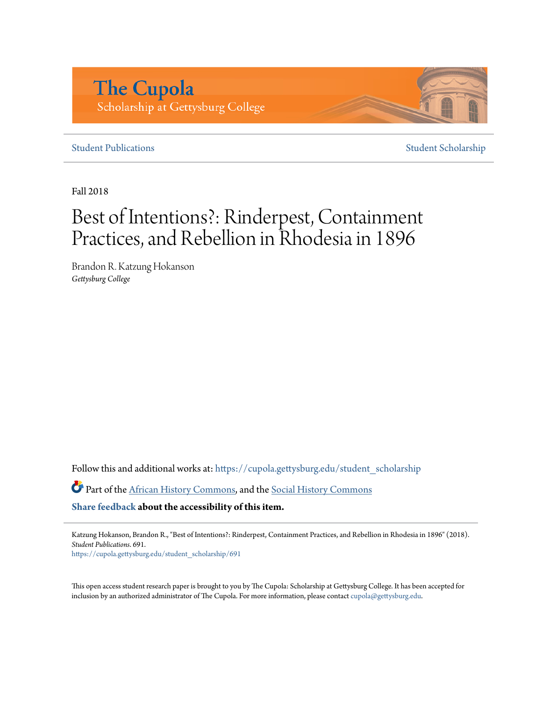# **The Cupola** Scholarship at Gettysburg College

## **[Student Publications](https://cupola.gettysburg.edu/student_scholarship?utm_source=cupola.gettysburg.edu%2Fstudent_scholarship%2F691&utm_medium=PDF&utm_campaign=PDFCoverPages)** [Student Scholarship](https://cupola.gettysburg.edu/student?utm_source=cupola.gettysburg.edu%2Fstudent_scholarship%2F691&utm_medium=PDF&utm_campaign=PDFCoverPages)

Fall 2018

# Best of Intentions?: Rinderpest, Containment Practices, and Rebellion in Rhodesia in 1896

Brandon R. Katzung Hokanson *Gettysburg College*

Follow this and additional works at: [https://cupola.gettysburg.edu/student\\_scholarship](https://cupola.gettysburg.edu/student_scholarship?utm_source=cupola.gettysburg.edu%2Fstudent_scholarship%2F691&utm_medium=PDF&utm_campaign=PDFCoverPages)

Part of the [African History Commons,](http://network.bepress.com/hgg/discipline/490?utm_source=cupola.gettysburg.edu%2Fstudent_scholarship%2F691&utm_medium=PDF&utm_campaign=PDFCoverPages) and the [Social History Commons](http://network.bepress.com/hgg/discipline/506?utm_source=cupola.gettysburg.edu%2Fstudent_scholarship%2F691&utm_medium=PDF&utm_campaign=PDFCoverPages)

**[Share feedback](https://docs.google.com/a/bepress.com/forms/d/1h9eEcpBPj5POs5oO6Y5A0blXRmZqykoonyYiZUNyEq8/viewform) about the accessibility of this item.**

Katzung Hokanson, Brandon R., "Best of Intentions?: Rinderpest, Containment Practices, and Rebellion in Rhodesia in 1896" (2018). *Student Publications*. 691.

[https://cupola.gettysburg.edu/student\\_scholarship/691](https://cupola.gettysburg.edu/student_scholarship/691?utm_source=cupola.gettysburg.edu%2Fstudent_scholarship%2F691&utm_medium=PDF&utm_campaign=PDFCoverPages)

This open access student research paper is brought to you by The Cupola: Scholarship at Gettysburg College. It has been accepted for inclusion by an authorized administrator of The Cupola. For more information, please contact [cupola@gettysburg.edu.](mailto:cupola@gettysburg.edu)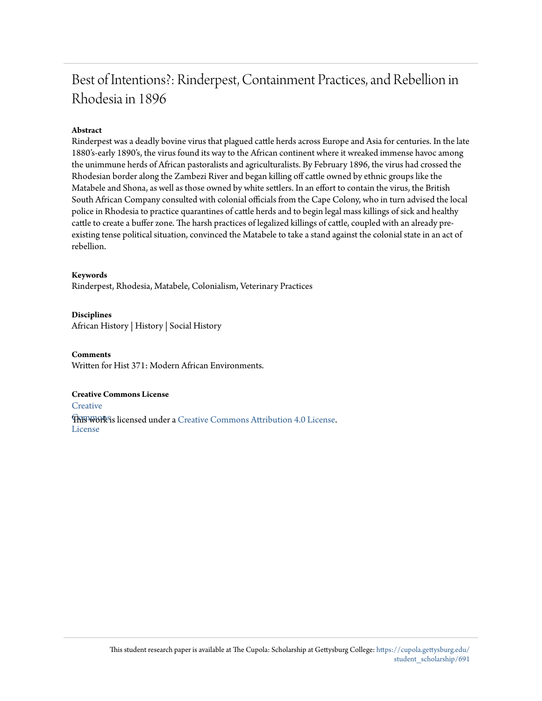# Best of Intentions?: Rinderpest, Containment Practices, and Rebellion in Rhodesia in 1896

### **Abstract**

Rinderpest was a deadly bovine virus that plagued cattle herds across Europe and Asia for centuries. In the late 1880's-early 1890's, the virus found its way to the African continent where it wreaked immense havoc among the unimmune herds of African pastoralists and agriculturalists. By February 1896, the virus had crossed the Rhodesian border along the Zambezi River and began killing off cattle owned by ethnic groups like the Matabele and Shona, as well as those owned by white settlers. In an effort to contain the virus, the British South African Company consulted with colonial officials from the Cape Colony, who in turn advised the local police in Rhodesia to practice quarantines of cattle herds and to begin legal mass killings of sick and healthy cattle to create a buffer zone. The harsh practices of legalized killings of cattle, coupled with an already preexisting tense political situation, convinced the Matabele to take a stand against the colonial state in an act of rebellion.

#### **Keywords**

Rinderpest, Rhodesia, Matabele, Colonialism, Veterinary Practices

#### **Disciplines**

African History | History | Social History

#### **Comments**

Written for Hist 371: Modern African Environments.

#### **Creative Commons License**

**[Creative](https://creativecommons.org/licenses/by/4.0/)** 

**This work is licensed under a** [Creative Commons Attribution 4.0 License.](https://creativecommons.org/licenses/by/4.0/) License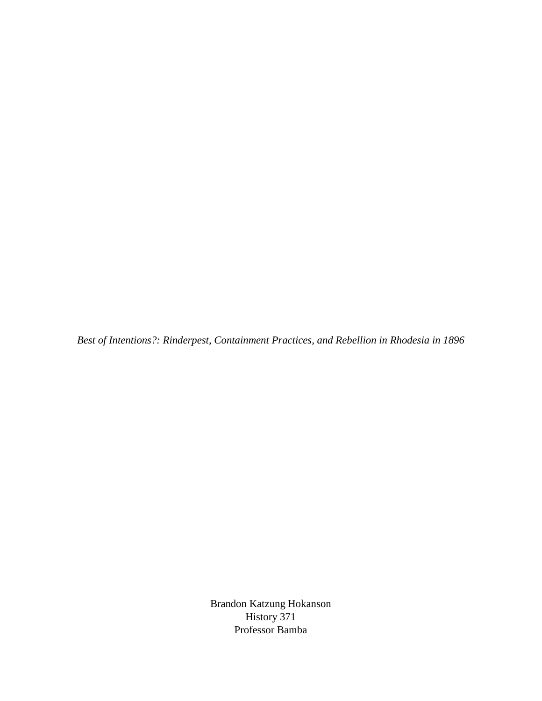*Best of Intentions?: Rinderpest, Containment Practices, and Rebellion in Rhodesia in 1896*

Brandon Katzung Hokanson History 371 Professor Bamba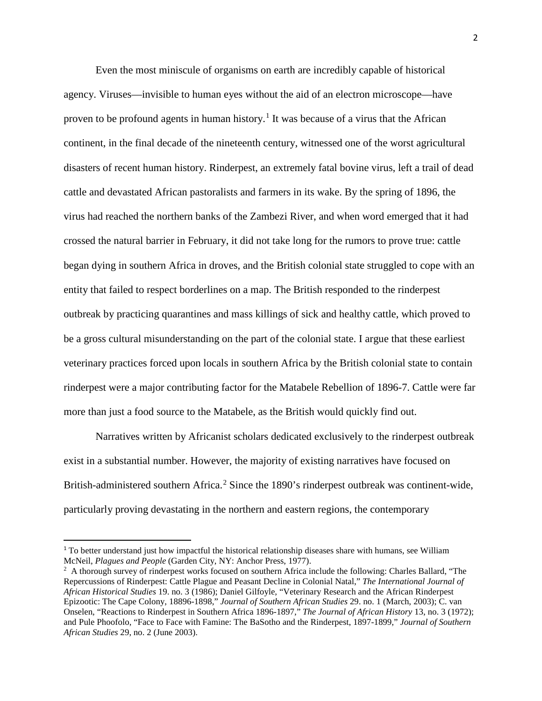Even the most miniscule of organisms on earth are incredibly capable of historical agency. Viruses—invisible to human eyes without the aid of an electron microscope—have proven to be profound agents in human history.<sup>[1](#page-3-0)</sup> It was because of a virus that the African continent, in the final decade of the nineteenth century, witnessed one of the worst agricultural disasters of recent human history. Rinderpest, an extremely fatal bovine virus, left a trail of dead cattle and devastated African pastoralists and farmers in its wake. By the spring of 1896, the virus had reached the northern banks of the Zambezi River, and when word emerged that it had crossed the natural barrier in February, it did not take long for the rumors to prove true: cattle began dying in southern Africa in droves, and the British colonial state struggled to cope with an entity that failed to respect borderlines on a map. The British responded to the rinderpest outbreak by practicing quarantines and mass killings of sick and healthy cattle, which proved to be a gross cultural misunderstanding on the part of the colonial state. I argue that these earliest veterinary practices forced upon locals in southern Africa by the British colonial state to contain rinderpest were a major contributing factor for the Matabele Rebellion of 1896-7. Cattle were far more than just a food source to the Matabele, as the British would quickly find out.

Narratives written by Africanist scholars dedicated exclusively to the rinderpest outbreak exist in a substantial number. However, the majority of existing narratives have focused on British-administered southern Africa.<sup>[2](#page-3-1)</sup> Since the 1890's rinderpest outbreak was continent-wide, particularly proving devastating in the northern and eastern regions, the contemporary

<span id="page-3-0"></span><sup>&</sup>lt;sup>1</sup> To better understand just how impactful the historical relationship diseases share with humans, see William McNeil, *Plagues and People* (Garden City, NY: Anchor Press, 1977).

<span id="page-3-1"></span> $2$  A thorough survey of rinderpest works focused on southern Africa include the following: Charles Ballard, "The Repercussions of Rinderpest: Cattle Plague and Peasant Decline in Colonial Natal," *The International Journal of African Historical Studies* 19. no. 3 (1986); Daniel Gilfoyle, "Veterinary Research and the African Rinderpest Epizootic: The Cape Colony, 18896-1898," *Journal of Southern African Studies* 29. no. 1 (March, 2003); C. van Onselen, "Reactions to Rinderpest in Southern Africa 1896-1897," *The Journal of African History* 13, no. 3 (1972); and Pule Phoofolo, "Face to Face with Famine: The BaSotho and the Rinderpest, 1897-1899," *Journal of Southern African Studies* 29, no. 2 (June 2003).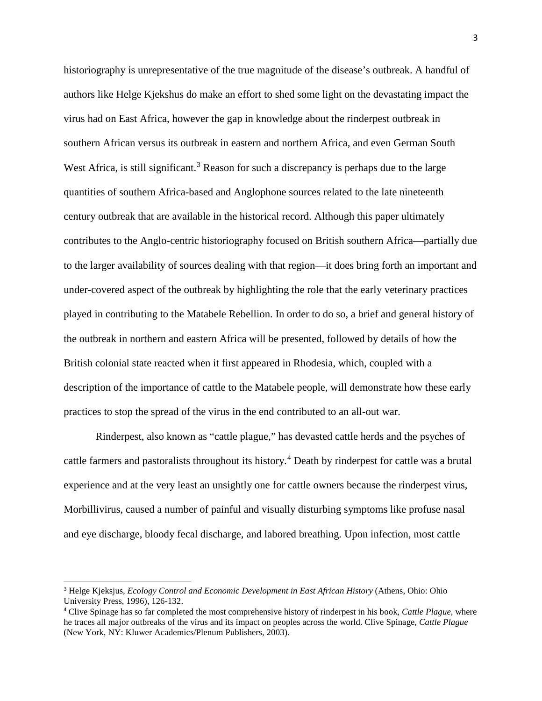historiography is unrepresentative of the true magnitude of the disease's outbreak. A handful of authors like Helge Kjekshus do make an effort to shed some light on the devastating impact the virus had on East Africa, however the gap in knowledge about the rinderpest outbreak in southern African versus its outbreak in eastern and northern Africa, and even German South West Africa, is still significant.<sup>[3](#page-4-0)</sup> Reason for such a discrepancy is perhaps due to the large quantities of southern Africa-based and Anglophone sources related to the late nineteenth century outbreak that are available in the historical record. Although this paper ultimately contributes to the Anglo-centric historiography focused on British southern Africa—partially due to the larger availability of sources dealing with that region—it does bring forth an important and under-covered aspect of the outbreak by highlighting the role that the early veterinary practices played in contributing to the Matabele Rebellion. In order to do so, a brief and general history of the outbreak in northern and eastern Africa will be presented, followed by details of how the British colonial state reacted when it first appeared in Rhodesia, which, coupled with a description of the importance of cattle to the Matabele people, will demonstrate how these early practices to stop the spread of the virus in the end contributed to an all-out war.

Rinderpest, also known as "cattle plague," has devasted cattle herds and the psyches of cattle farmers and pastoralists throughout its history.<sup>[4](#page-4-1)</sup> Death by rinderpest for cattle was a brutal experience and at the very least an unsightly one for cattle owners because the rinderpest virus, Morbillivirus, caused a number of painful and visually disturbing symptoms like profuse nasal and eye discharge, bloody fecal discharge, and labored breathing. Upon infection, most cattle

<span id="page-4-0"></span><sup>3</sup> Helge Kjeksjus, *Ecology Control and Economic Development in East African History* (Athens, Ohio: Ohio University Press, 1996), 126-132.

<span id="page-4-1"></span><sup>4</sup> Clive Spinage has so far completed the most comprehensive history of rinderpest in his book, *Cattle Plague*, where he traces all major outbreaks of the virus and its impact on peoples across the world. Clive Spinage, *Cattle Plague*  (New York, NY: Kluwer Academics/Plenum Publishers, 2003).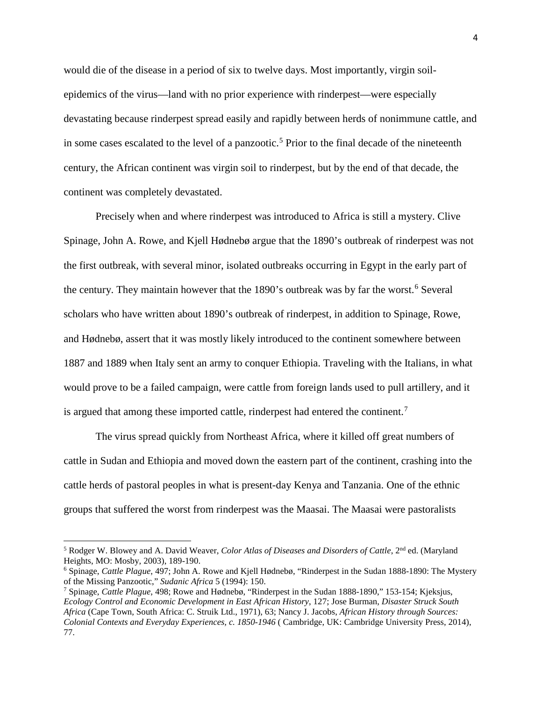would die of the disease in a period of six to twelve days. Most importantly, virgin soilepidemics of the virus—land with no prior experience with rinderpest—were especially devastating because rinderpest spread easily and rapidly between herds of nonimmune cattle, and in some cases escalated to the level of a panzootic.<sup>[5](#page-5-0)</sup> Prior to the final decade of the nineteenth century, the African continent was virgin soil to rinderpest, but by the end of that decade, the continent was completely devastated.

Precisely when and where rinderpest was introduced to Africa is still a mystery. Clive Spinage, John A. Rowe, and Kjell Hødnebø argue that the 1890's outbreak of rinderpest was not the first outbreak, with several minor, isolated outbreaks occurring in Egypt in the early part of the century. They maintain however that the 1890's outbreak was by far the worst.<sup>[6](#page-5-1)</sup> Several scholars who have written about 1890's outbreak of rinderpest, in addition to Spinage, Rowe, and Hødnebø, assert that it was mostly likely introduced to the continent somewhere between 1887 and 1889 when Italy sent an army to conquer Ethiopia. Traveling with the Italians, in what would prove to be a failed campaign, were cattle from foreign lands used to pull artillery, and it is argued that among these imported cattle, rinderpest had entered the continent.<sup>[7](#page-5-2)</sup>

The virus spread quickly from Northeast Africa, where it killed off great numbers of cattle in Sudan and Ethiopia and moved down the eastern part of the continent, crashing into the cattle herds of pastoral peoples in what is present-day Kenya and Tanzania. One of the ethnic groups that suffered the worst from rinderpest was the Maasai. The Maasai were pastoralists

<span id="page-5-0"></span><sup>&</sup>lt;sup>5</sup> Rodger W. Blowey and A. David Weaver, *Color Atlas of Diseases and Disorders of Cattle*, 2<sup>nd</sup> ed. (Maryland Heights, MO: Mosby, 2003), 189-190.

<span id="page-5-1"></span><sup>6</sup> Spinage, *Cattle Plague*, 497; John A. Rowe and Kjell Hødnebø, "Rinderpest in the Sudan 1888-1890: The Mystery of the Missing Panzootic," *Sudanic Africa* 5 (1994): 150. 7 Spinage, *Cattle Plague*, 498; Rowe and Hødnebø, "Rinderpest in the Sudan 1888-1890," 153-154; Kjeksjus,

<span id="page-5-2"></span>*Ecology Control and Economic Development in East African History*, 127; Jose Burman, *Disaster Struck South Africa* (Cape Town, South Africa: C. Struik Ltd., 1971), 63; Nancy J. Jacobs, *African History through Sources: Colonial Contexts and Everyday Experiences, c. 1850-1946* ( Cambridge, UK: Cambridge University Press, 2014), 77.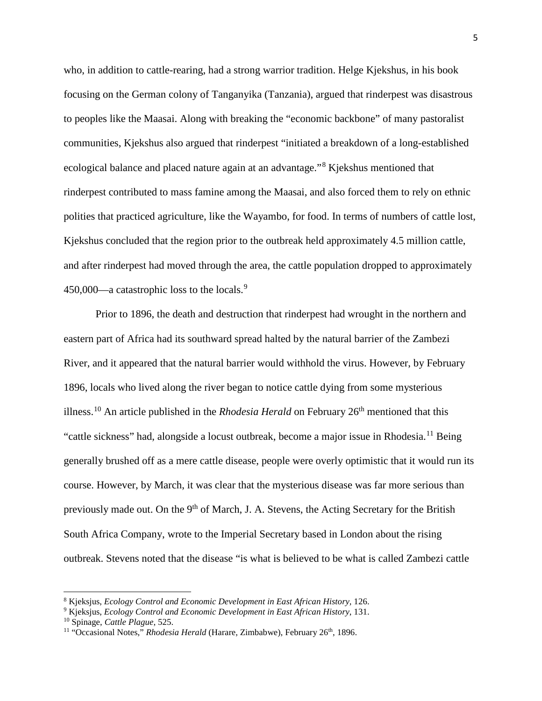who, in addition to cattle-rearing, had a strong warrior tradition. Helge Kjekshus, in his book focusing on the German colony of Tanganyika (Tanzania), argued that rinderpest was disastrous to peoples like the Maasai. Along with breaking the "economic backbone" of many pastoralist communities, Kjekshus also argued that rinderpest "initiated a breakdown of a long-established ecological balance and placed nature again at an advantage."[8](#page-6-0) Kjekshus mentioned that rinderpest contributed to mass famine among the Maasai, and also forced them to rely on ethnic polities that practiced agriculture, like the Wayambo, for food. In terms of numbers of cattle lost, Kjekshus concluded that the region prior to the outbreak held approximately 4.5 million cattle, and after rinderpest had moved through the area, the cattle population dropped to approximately 450,000—a catastrophic loss to the locals.<sup>[9](#page-6-1)</sup>

Prior to 1896, the death and destruction that rinderpest had wrought in the northern and eastern part of Africa had its southward spread halted by the natural barrier of the Zambezi River, and it appeared that the natural barrier would withhold the virus. However, by February 1896, locals who lived along the river began to notice cattle dying from some mysterious illness.<sup>[10](#page-6-2)</sup> An article published in the *Rhodesia Herald* on February  $26<sup>th</sup>$  mentioned that this "cattle sickness" had, alongside a locust outbreak, become a major issue in Rhodesia.[11](#page-6-3) Being generally brushed off as a mere cattle disease, people were overly optimistic that it would run its course. However, by March, it was clear that the mysterious disease was far more serious than previously made out. On the 9<sup>th</sup> of March, J. A. Stevens, the Acting Secretary for the British South Africa Company, wrote to the Imperial Secretary based in London about the rising outbreak. Stevens noted that the disease "is what is believed to be what is called Zambezi cattle

<span id="page-6-0"></span><sup>8</sup> Kjeksjus, *Ecology Control and Economic Development in East African History,* 126.

<span id="page-6-1"></span><sup>9</sup> Kjeksjus, *Ecology Control and Economic Development in East African History*, 131.

<span id="page-6-2"></span><sup>10</sup> Spinage, *Cattle Plague*, 525.

<span id="page-6-3"></span><sup>&</sup>lt;sup>11</sup> "Occasional Notes," *Rhodesia Herald* (Harare, Zimbabwe), February 26<sup>th</sup>, 1896.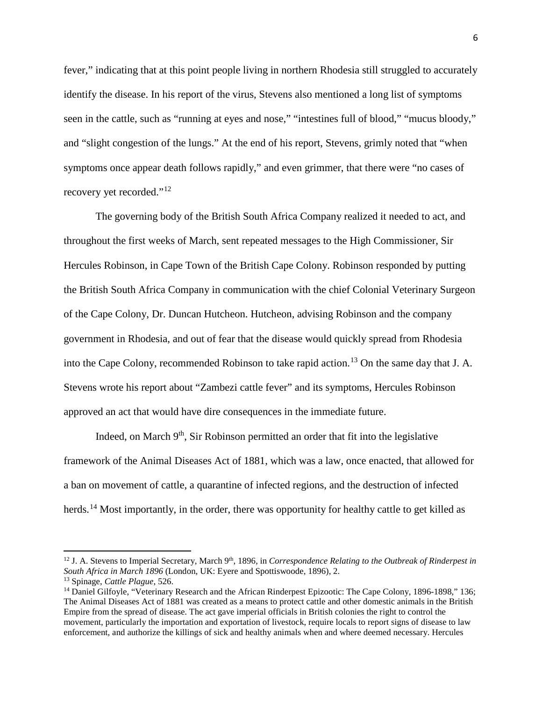fever," indicating that at this point people living in northern Rhodesia still struggled to accurately identify the disease. In his report of the virus, Stevens also mentioned a long list of symptoms seen in the cattle, such as "running at eyes and nose," "intestines full of blood," "mucus bloody," and "slight congestion of the lungs." At the end of his report, Stevens, grimly noted that "when symptoms once appear death follows rapidly," and even grimmer, that there were "no cases of recovery yet recorded."[12](#page-7-0)

The governing body of the British South Africa Company realized it needed to act, and throughout the first weeks of March, sent repeated messages to the High Commissioner, Sir Hercules Robinson, in Cape Town of the British Cape Colony. Robinson responded by putting the British South Africa Company in communication with the chief Colonial Veterinary Surgeon of the Cape Colony, Dr. Duncan Hutcheon. Hutcheon, advising Robinson and the company government in Rhodesia, and out of fear that the disease would quickly spread from Rhodesia into the Cape Colony, recommended Robinson to take rapid action.<sup>[13](#page-7-1)</sup> On the same day that J. A. Stevens wrote his report about "Zambezi cattle fever" and its symptoms, Hercules Robinson approved an act that would have dire consequences in the immediate future.

Indeed, on March  $9<sup>th</sup>$ , Sir Robinson permitted an order that fit into the legislative framework of the Animal Diseases Act of 1881, which was a law, once enacted, that allowed for a ban on movement of cattle, a quarantine of infected regions, and the destruction of infected herds.<sup>[14](#page-7-2)</sup> Most importantly, in the order, there was opportunity for healthy cattle to get killed as

<span id="page-7-0"></span><sup>&</sup>lt;sup>12</sup> J. A. Stevens to Imperial Secretary, March 9<sup>th</sup>, 1896, in *Correspondence Relating to the Outbreak of Rinderpest in South Africa in March 1896* (London, UK: Eyere and Spottiswoode, 1896), 2. <sup>13</sup> Spinage, *Cattle Plague*, 526.

<span id="page-7-1"></span>

<span id="page-7-2"></span><sup>&</sup>lt;sup>14</sup> Daniel Gilfoyle, "Veterinary Research and the African Rinderpest Epizootic: The Cape Colony, 1896-1898," 136; The Animal Diseases Act of 1881 was created as a means to protect cattle and other domestic animals in the British Empire from the spread of disease. The act gave imperial officials in British colonies the right to control the movement, particularly the importation and exportation of livestock, require locals to report signs of disease to law enforcement, and authorize the killings of sick and healthy animals when and where deemed necessary. Hercules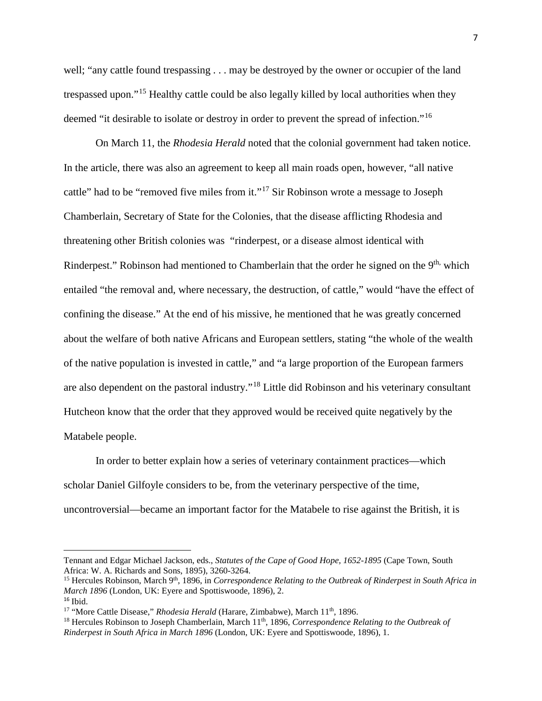well; "any cattle found trespassing . . . may be destroyed by the owner or occupier of the land trespassed upon."[15](#page-8-0) Healthy cattle could be also legally killed by local authorities when they deemed "it desirable to isolate or destroy in order to prevent the spread of infection."<sup>[16](#page-8-1)</sup>

On March 11, the *Rhodesia Herald* noted that the colonial government had taken notice. In the article, there was also an agreement to keep all main roads open, however, "all native cattle" had to be "removed five miles from it."<sup>[17](#page-8-2)</sup> Sir Robinson wrote a message to Joseph Chamberlain, Secretary of State for the Colonies, that the disease afflicting Rhodesia and threatening other British colonies was "rinderpest, or a disease almost identical with Rinderpest." Robinson had mentioned to Chamberlain that the order he signed on the  $9<sup>th</sup>$ , which entailed "the removal and, where necessary, the destruction, of cattle," would "have the effect of confining the disease." At the end of his missive, he mentioned that he was greatly concerned about the welfare of both native Africans and European settlers, stating "the whole of the wealth of the native population is invested in cattle," and "a large proportion of the European farmers are also dependent on the pastoral industry."[18](#page-8-3) Little did Robinson and his veterinary consultant Hutcheon know that the order that they approved would be received quite negatively by the Matabele people.

In order to better explain how a series of veterinary containment practices—which scholar Daniel Gilfoyle considers to be, from the veterinary perspective of the time, uncontroversial—became an important factor for the Matabele to rise against the British, it is

Tennant and Edgar Michael Jackson, eds., *Statutes of the Cape of Good Hope, 1652-1895* (Cape Town, South Africa: W. A. Richards and Sons, 1895), 3260-3264.

<span id="page-8-0"></span><sup>&</sup>lt;sup>15</sup> Hercules Robinson, March 9<sup>th</sup>, 1896, in *Correspondence Relating to the Outbreak of Rinderpest in South Africa in March 1896* (London, UK: Eyere and Spottiswoode, 1896), 2.  $16$  Ibid.

<span id="page-8-2"></span><span id="page-8-1"></span><sup>&</sup>lt;sup>17</sup> "More Cattle Disease," *Rhodesia Herald* (Harare, Zimbabwe), March 11<sup>th</sup>, 1896.

<span id="page-8-3"></span><sup>&</sup>lt;sup>18</sup> Hercules Robinson to Joseph Chamberlain, March 11<sup>th</sup>, 1896, *Correspondence Relating to the Outbreak of Rinderpest in South Africa in March 1896* (London, UK: Eyere and Spottiswoode, 1896), 1.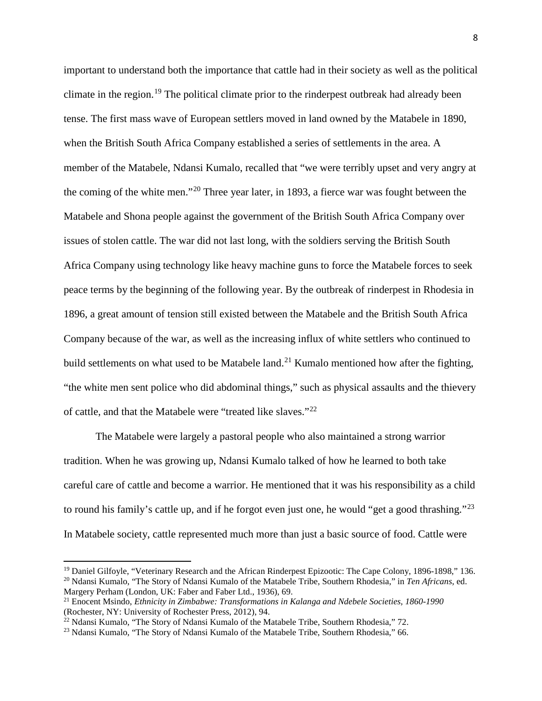important to understand both the importance that cattle had in their society as well as the political climate in the region.<sup>[19](#page-9-0)</sup> The political climate prior to the rinderpest outbreak had already been tense. The first mass wave of European settlers moved in land owned by the Matabele in 1890, when the British South Africa Company established a series of settlements in the area. A member of the Matabele, Ndansi Kumalo, recalled that "we were terribly upset and very angry at the coming of the white men."[20](#page-9-1) Three year later, in 1893, a fierce war was fought between the Matabele and Shona people against the government of the British South Africa Company over issues of stolen cattle. The war did not last long, with the soldiers serving the British South Africa Company using technology like heavy machine guns to force the Matabele forces to seek peace terms by the beginning of the following year. By the outbreak of rinderpest in Rhodesia in 1896, a great amount of tension still existed between the Matabele and the British South Africa Company because of the war, as well as the increasing influx of white settlers who continued to build settlements on what used to be Matabele land.<sup>[21](#page-9-2)</sup> Kumalo mentioned how after the fighting, "the white men sent police who did abdominal things," such as physical assaults and the thievery of cattle, and that the Matabele were "treated like slaves."<sup>[22](#page-9-3)</sup>

The Matabele were largely a pastoral people who also maintained a strong warrior tradition. When he was growing up, Ndansi Kumalo talked of how he learned to both take careful care of cattle and become a warrior. He mentioned that it was his responsibility as a child to round his family's cattle up, and if he forgot even just one, he would "get a good thrashing."<sup>[23](#page-9-4)</sup> In Matabele society, cattle represented much more than just a basic source of food. Cattle were

<span id="page-9-1"></span><span id="page-9-0"></span><sup>&</sup>lt;sup>19</sup> Daniel Gilfoyle, "Veterinary Research and the African Rinderpest Epizootic: The Cape Colony, 1896-1898," 136. <sup>20</sup> Ndansi Kumalo, "The Story of Ndansi Kumalo of the Matabele Tribe, Southern Rhodesia," in *Ten Africans*, ed. Margery Perham (London, UK: Faber and Faber Ltd., 1936), 69.

<span id="page-9-2"></span><sup>21</sup> Enocent Msindo, *Ethnicity in Zimbabwe: Transformations in Kalanga and Ndebele Societies, 1860-1990*  (Rochester, NY: University of Rochester Press, 2012), 94.

<span id="page-9-3"></span><sup>&</sup>lt;sup>22</sup> Ndansi Kumalo, "The Story of Ndansi Kumalo of the Matabele Tribe, Southern Rhodesia," 72.

<span id="page-9-4"></span><sup>&</sup>lt;sup>23</sup> Ndansi Kumalo, "The Story of Ndansi Kumalo of the Matabele Tribe, Southern Rhodesia," 66.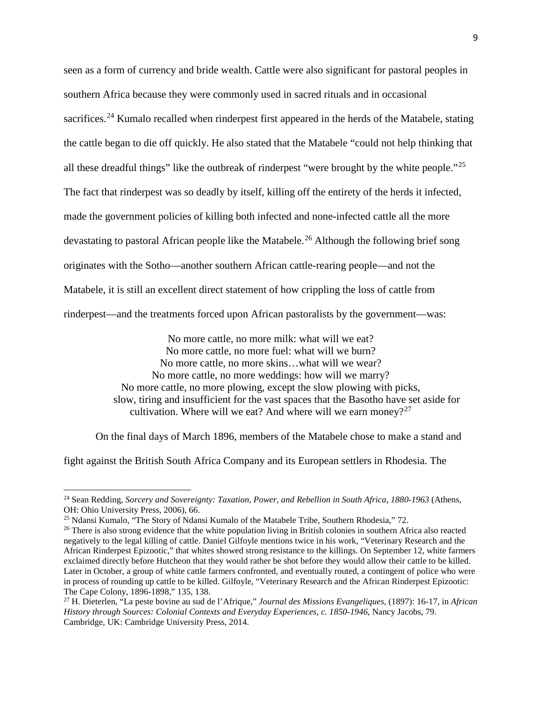seen as a form of currency and bride wealth. Cattle were also significant for pastoral peoples in southern Africa because they were commonly used in sacred rituals and in occasional sacrifices.<sup>[24](#page-10-0)</sup> Kumalo recalled when rinderpest first appeared in the herds of the Matabele, stating the cattle began to die off quickly. He also stated that the Matabele "could not help thinking that all these dreadful things" like the outbreak of rinderpest "were brought by the white people."<sup>[25](#page-10-1)</sup> The fact that rinderpest was so deadly by itself, killing off the entirety of the herds it infected, made the government policies of killing both infected and none-infected cattle all the more devastating to pastoral African people like the Matabele.<sup>[26](#page-10-2)</sup> Although the following brief song originates with the Sotho—another southern African cattle-rearing people—and not the Matabele, it is still an excellent direct statement of how crippling the loss of cattle from rinderpest—and the treatments forced upon African pastoralists by the government—was:

> No more cattle, no more milk: what will we eat? No more cattle, no more fuel: what will we burn? No more cattle, no more skins…what will we wear? No more cattle, no more weddings: how will we marry? No more cattle, no more plowing, except the slow plowing with picks, slow, tiring and insufficient for the vast spaces that the Basotho have set aside for cultivation. Where will we eat? And where will we earn money?<sup>[27](#page-10-3)</sup>

On the final days of March 1896, members of the Matabele chose to make a stand and

fight against the British South Africa Company and its European settlers in Rhodesia. The

<span id="page-10-0"></span><sup>24</sup> Sean Redding, *Sorcery and Sovereignty: Taxation, Power, and Rebellion in South Africa, 1880-1963* (Athens, OH: Ohio University Press, 2006), 66.

<span id="page-10-1"></span><sup>&</sup>lt;sup>25</sup> Ndansi Kumalo, "The Story of Ndansi Kumalo of the Matabele Tribe, Southern Rhodesia," 72.

<span id="page-10-2"></span><sup>&</sup>lt;sup>26</sup> There is also strong evidence that the white population living in British colonies in southern Africa also reacted negatively to the legal killing of cattle. Daniel Gilfoyle mentions twice in his work, "Veterinary Research and the African Rinderpest Epizootic," that whites showed strong resistance to the killings. On September 12, white farmers exclaimed directly before Hutcheon that they would rather be shot before they would allow their cattle to be killed. Later in October, a group of white cattle farmers confronted, and eventually routed, a contingent of police who were in process of rounding up cattle to be killed. Gilfoyle, "Veterinary Research and the African Rinderpest Epizootic: The Cape Colony, 1896-1898," 135, 138.

<span id="page-10-3"></span><sup>27</sup> H. Dieterlen, "La peste bovine au sud de l'Afrique," *Journal des Missions Evangeliques,* (1897): 16-17, in *African History through Sources: Colonial Contexts and Everyday Experiences, c. 1850-1946*, Nancy Jacobs, 79. Cambridge, UK: Cambridge University Press, 2014.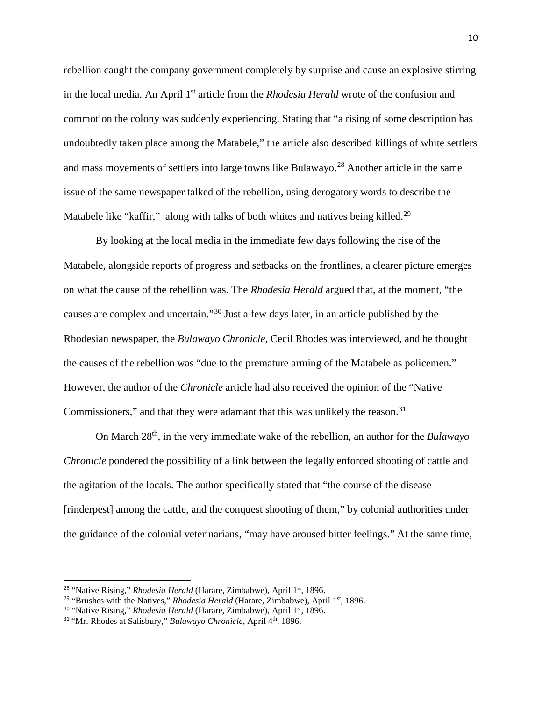rebellion caught the company government completely by surprise and cause an explosive stirring in the local media. An April 1st article from the *Rhodesia Herald* wrote of the confusion and commotion the colony was suddenly experiencing. Stating that "a rising of some description has undoubtedly taken place among the Matabele," the article also described killings of white settlers and mass movements of settlers into large towns like Bulawayo.<sup>[28](#page-11-0)</sup> Another article in the same issue of the same newspaper talked of the rebellion, using derogatory words to describe the Matabele like "kaffir," along with talks of both whites and natives being killed.<sup>[29](#page-11-1)</sup>

By looking at the local media in the immediate few days following the rise of the Matabele, alongside reports of progress and setbacks on the frontlines, a clearer picture emerges on what the cause of the rebellion was. The *Rhodesia Herald* argued that, at the moment, "the causes are complex and uncertain."[30](#page-11-2) Just a few days later, in an article published by the Rhodesian newspaper, the *Bulawayo Chronicle*, Cecil Rhodes was interviewed, and he thought the causes of the rebellion was "due to the premature arming of the Matabele as policemen." However, the author of the *Chronicle* article had also received the opinion of the "Native Commissioners," and that they were adamant that this was unlikely the reason.<sup>[31](#page-11-3)</sup>

On March 28th, in the very immediate wake of the rebellion, an author for the *Bulawayo Chronicle* pondered the possibility of a link between the legally enforced shooting of cattle and the agitation of the locals. The author specifically stated that "the course of the disease [rinderpest] among the cattle, and the conquest shooting of them," by colonial authorities under the guidance of the colonial veterinarians, "may have aroused bitter feelings." At the same time,

<span id="page-11-0"></span><sup>&</sup>lt;sup>28</sup> "Native Rising," *Rhodesia Herald* (Harare, Zimbabwe), April 1<sup>st</sup>, 1896.

<span id="page-11-1"></span><sup>29</sup> "Brushes with the Natives," *Rhodesia Herald* (Harare, Zimbabwe)*,* April 1st, 1896.

<span id="page-11-2"></span><sup>&</sup>lt;sup>30</sup> "Native Rising," *Rhodesia Herald* (Harare, Zimbabwe), April 1<sup>st</sup>, 1896.

<span id="page-11-3"></span><sup>&</sup>lt;sup>31</sup> "Mr. Rhodes at Salisbury," *Bulawayo Chronicle*, April 4<sup>th</sup>, 1896.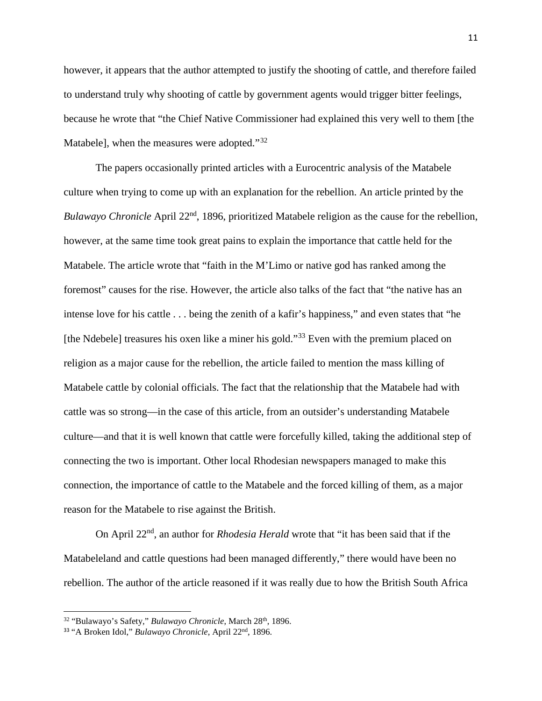however, it appears that the author attempted to justify the shooting of cattle, and therefore failed to understand truly why shooting of cattle by government agents would trigger bitter feelings, because he wrote that "the Chief Native Commissioner had explained this very well to them [the Matabele], when the measures were adopted."<sup>[32](#page-12-0)</sup>

The papers occasionally printed articles with a Eurocentric analysis of the Matabele culture when trying to come up with an explanation for the rebellion. An article printed by the *Bulawayo Chronicle* April 22nd, 1896, prioritized Matabele religion as the cause for the rebellion, however, at the same time took great pains to explain the importance that cattle held for the Matabele. The article wrote that "faith in the M'Limo or native god has ranked among the foremost" causes for the rise. However, the article also talks of the fact that "the native has an intense love for his cattle . . . being the zenith of a kafir's happiness," and even states that "he [the Ndebele] treasures his oxen like a miner his gold."<sup>[33](#page-12-1)</sup> Even with the premium placed on religion as a major cause for the rebellion, the article failed to mention the mass killing of Matabele cattle by colonial officials. The fact that the relationship that the Matabele had with cattle was so strong—in the case of this article, from an outsider's understanding Matabele culture—and that it is well known that cattle were forcefully killed, taking the additional step of connecting the two is important. Other local Rhodesian newspapers managed to make this connection, the importance of cattle to the Matabele and the forced killing of them, as a major reason for the Matabele to rise against the British.

On April 22nd, an author for *Rhodesia Herald* wrote that "it has been said that if the Matabeleland and cattle questions had been managed differently," there would have been no rebellion. The author of the article reasoned if it was really due to how the British South Africa

<span id="page-12-0"></span><sup>&</sup>lt;sup>32</sup> "Bulawayo's Safety," *Bulawayo Chronicle*, March 28<sup>th</sup>, 1896.

<span id="page-12-1"></span><sup>33</sup> "A Broken Idol," *Bulawayo Chronicle*, April 22nd, 1896.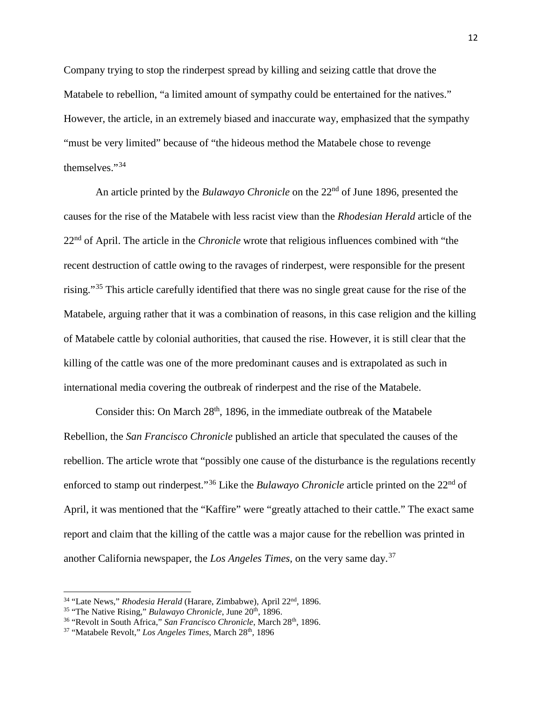Company trying to stop the rinderpest spread by killing and seizing cattle that drove the Matabele to rebellion, "a limited amount of sympathy could be entertained for the natives." However, the article, in an extremely biased and inaccurate way, emphasized that the sympathy "must be very limited" because of "the hideous method the Matabele chose to revenge themselves."[34](#page-13-0)

An article printed by the *Bulawayo Chronicle* on the 22<sup>nd</sup> of June 1896, presented the causes for the rise of the Matabele with less racist view than the *Rhodesian Herald* article of the 22nd of April. The article in the *Chronicle* wrote that religious influences combined with "the recent destruction of cattle owing to the ravages of rinderpest, were responsible for the present rising."<sup>[35](#page-13-1)</sup> This article carefully identified that there was no single great cause for the rise of the Matabele, arguing rather that it was a combination of reasons, in this case religion and the killing of Matabele cattle by colonial authorities, that caused the rise. However, it is still clear that the killing of the cattle was one of the more predominant causes and is extrapolated as such in international media covering the outbreak of rinderpest and the rise of the Matabele.

Consider this: On March  $28<sup>th</sup>$ , 1896, in the immediate outbreak of the Matabele Rebellion, the *San Francisco Chronicle* published an article that speculated the causes of the rebellion. The article wrote that "possibly one cause of the disturbance is the regulations recently enforced to stamp out rinderpest."<sup>[36](#page-13-2)</sup> Like the *Bulawayo Chronicle* article printed on the 22<sup>nd</sup> of April, it was mentioned that the "Kaffire" were "greatly attached to their cattle." The exact same report and claim that the killing of the cattle was a major cause for the rebellion was printed in another California newspaper, the *Los Angeles Times,* on the very same day.[37](#page-13-3)

<span id="page-13-0"></span><sup>&</sup>lt;sup>34</sup> "Late News," *Rhodesia Herald* (Harare, Zimbabwe), April 22<sup>nd</sup>, 1896.

<span id="page-13-1"></span><sup>&</sup>lt;sup>35</sup> "The Native Rising," *Bulawayo Chronicle*, June 20<sup>th</sup>, 1896.

<span id="page-13-2"></span><sup>&</sup>lt;sup>36</sup> "Revolt in South Africa," San Francisco Chronicle, March 28<sup>th</sup>, 1896.

<span id="page-13-3"></span><sup>&</sup>lt;sup>37</sup> "Matabele Revolt," *Los Angeles Times*, March 28<sup>th</sup>, 1896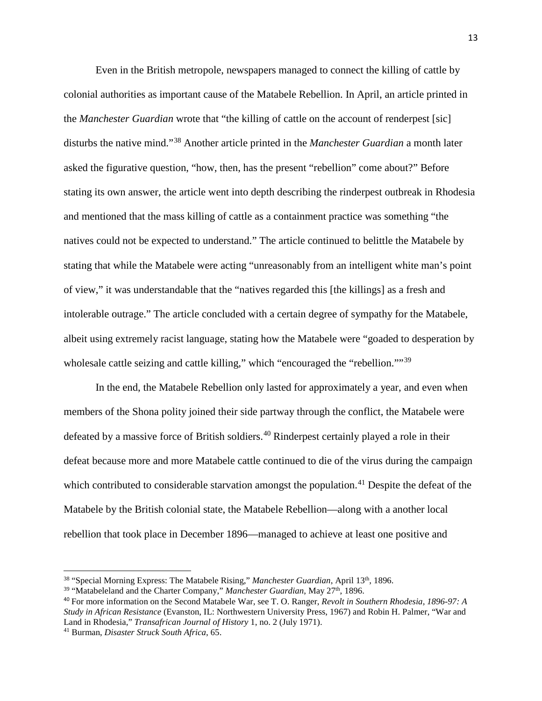Even in the British metropole, newspapers managed to connect the killing of cattle by colonial authorities as important cause of the Matabele Rebellion. In April, an article printed in the *Manchester Guardian* wrote that "the killing of cattle on the account of renderpest [sic] disturbs the native mind."[38](#page-14-0) Another article printed in the *Manchester Guardian* a month later asked the figurative question, "how, then, has the present "rebellion" come about?" Before stating its own answer, the article went into depth describing the rinderpest outbreak in Rhodesia and mentioned that the mass killing of cattle as a containment practice was something "the natives could not be expected to understand." The article continued to belittle the Matabele by stating that while the Matabele were acting "unreasonably from an intelligent white man's point of view," it was understandable that the "natives regarded this [the killings] as a fresh and intolerable outrage." The article concluded with a certain degree of sympathy for the Matabele, albeit using extremely racist language, stating how the Matabele were "goaded to desperation by wholesale cattle seizing and cattle killing," which "encouraged the "rebellion."<sup>[39](#page-14-1)</sup>

In the end, the Matabele Rebellion only lasted for approximately a year, and even when members of the Shona polity joined their side partway through the conflict, the Matabele were defeated by a massive force of British soldiers.<sup>[40](#page-14-2)</sup> Rinderpest certainly played a role in their defeat because more and more Matabele cattle continued to die of the virus during the campaign which contributed to considerable starvation amongst the population.<sup>[41](#page-14-3)</sup> Despite the defeat of the Matabele by the British colonial state, the Matabele Rebellion—along with a another local rebellion that took place in December 1896—managed to achieve at least one positive and

 $\overline{a}$ 

<span id="page-14-0"></span><sup>38</sup> "Special Morning Express: The Matabele Rising," *Manchester Guardian*, April 13th, 1896.

<span id="page-14-1"></span><sup>&</sup>lt;sup>39</sup> "Matabeleland and the Charter Company," *Manchester Guardian*, May 27<sup>th</sup>, 1896.

<span id="page-14-2"></span><sup>40</sup> For more information on the Second Matabele War, see T. O. Ranger, *Revolt in Southern Rhodesia, 1896-97: A Study in African Resistance* (Evanston, IL: Northwestern University Press, 1967) and Robin H. Palmer, "War and Land in Rhodesia," *Transafrican Journal of History* 1, no. 2 (July 1971).

<span id="page-14-3"></span><sup>41</sup> Burman, *Disaster Struck South Africa*, 65.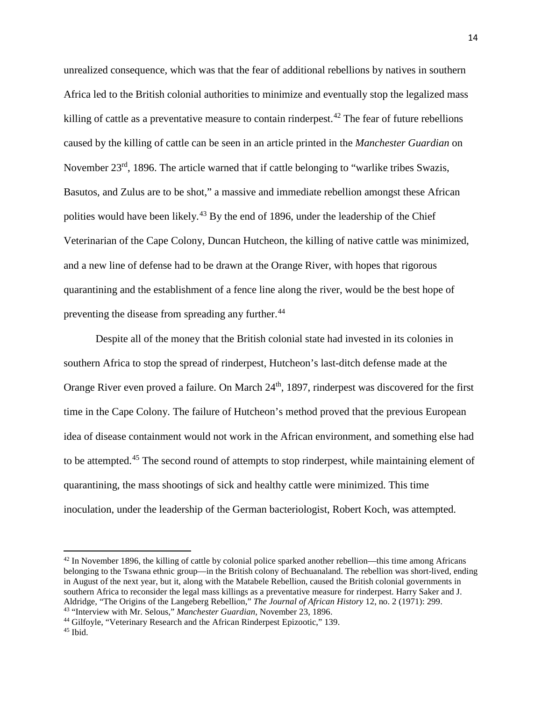unrealized consequence, which was that the fear of additional rebellions by natives in southern Africa led to the British colonial authorities to minimize and eventually stop the legalized mass killing of cattle as a preventative measure to contain rinderpest.<sup>[42](#page-15-0)</sup> The fear of future rebellions caused by the killing of cattle can be seen in an article printed in the *Manchester Guardian* on November  $23<sup>rd</sup>$ , 1896. The article warned that if cattle belonging to "warlike tribes Swazis, Basutos, and Zulus are to be shot," a massive and immediate rebellion amongst these African polities would have been likely.<sup>[43](#page-15-1)</sup> By the end of 1896, under the leadership of the Chief Veterinarian of the Cape Colony, Duncan Hutcheon, the killing of native cattle was minimized, and a new line of defense had to be drawn at the Orange River, with hopes that rigorous quarantining and the establishment of a fence line along the river, would be the best hope of preventing the disease from spreading any further.<sup>[44](#page-15-2)</sup>

Despite all of the money that the British colonial state had invested in its colonies in southern Africa to stop the spread of rinderpest, Hutcheon's last-ditch defense made at the Orange River even proved a failure. On March 24<sup>th</sup>, 1897, rinderpest was discovered for the first time in the Cape Colony. The failure of Hutcheon's method proved that the previous European idea of disease containment would not work in the African environment, and something else had to be attempted.<sup>[45](#page-15-3)</sup> The second round of attempts to stop rinderpest, while maintaining element of quarantining, the mass shootings of sick and healthy cattle were minimized. This time inoculation, under the leadership of the German bacteriologist, Robert Koch, was attempted.

<span id="page-15-0"></span> $42$  In November 1896, the killing of cattle by colonial police sparked another rebellion—this time among Africans belonging to the Tswana ethnic group—in the British colony of Bechuanaland. The rebellion was short-lived, ending in August of the next year, but it, along with the Matabele Rebellion, caused the British colonial governments in southern Africa to reconsider the legal mass killings as a preventative measure for rinderpest. Harry Saker and J. Aldridge, "The Origins of the Langeberg Rebellion," *The Journal of African History* 12, no. 2 (1971): 299. 43 "Interview with Mr. Selous," *Manchester Guardian*, November 23, 1896.

<span id="page-15-2"></span><span id="page-15-1"></span><sup>44</sup> Gilfoyle, "Veterinary Research and the African Rinderpest Epizootic," 139.

<span id="page-15-3"></span> $45$  Ibid.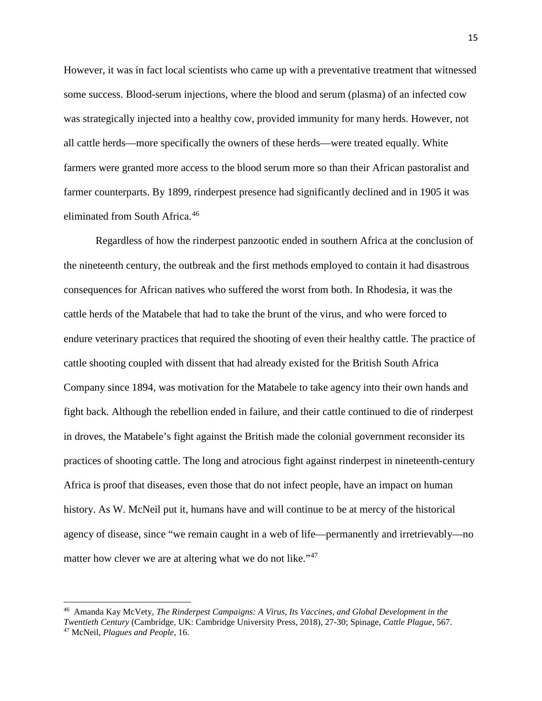However, it was in fact local scientists who came up with a preventative treatment that witnessed some success. Blood-serum injections, where the blood and serum (plasma) of an infected cow was strategically injected into a healthy cow, provided immunity for many herds. However, not all cattle herds—more specifically the owners of these herds—were treated equally. White farmers were granted more access to the blood serum more so than their African pastoralist and farmer counterparts. By 1899, rinderpest presence had significantly declined and in 1905 it was eliminated from South Africa. [46](#page-16-0)

Regardless of how the rinderpest panzootic ended in southern Africa at the conclusion of the nineteenth century, the outbreak and the first methods employed to contain it had disastrous consequences for African natives who suffered the worst from both. In Rhodesia, it was the cattle herds of the Matabele that had to take the brunt of the virus, and who were forced to endure veterinary practices that required the shooting of even their healthy cattle. The practice of cattle shooting coupled with dissent that had already existed for the British South Africa Company since 1894, was motivation for the Matabele to take agency into their own hands and fight back. Although the rebellion ended in failure, and their cattle continued to die of rinderpest in droves, the Matabele's fight against the British made the colonial government reconsider its practices of shooting cattle. The long and atrocious fight against rinderpest in nineteenth-century Africa is proof that diseases, even those that do not infect people, have an impact on human history. As W. McNeil put it, humans have and will continue to be at mercy of the historical agency of disease, since "we remain caught in a web of life—permanently and irretrievably—no matter how clever we are at altering what we do not like."<sup>[47](#page-16-1)</sup>

<span id="page-16-1"></span><span id="page-16-0"></span><sup>46</sup> Amanda Kay McVety, *The Rinderpest Campaigns: A Virus, Its Vaccines, and Global Development in the Twentieth Century* (Cambridge, UK: Cambridge University Press, 2018), 27-30; Spinage, *Cattle Plague*, 567. <sup>47</sup> McNeil, *Plagues and People*, 16.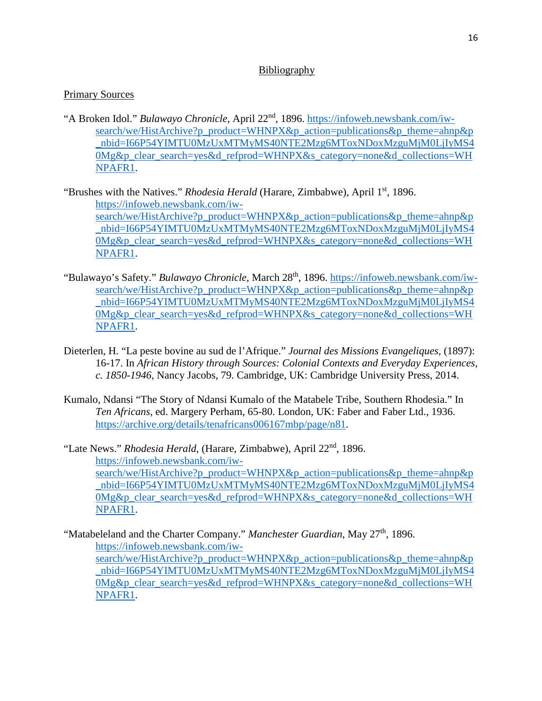# Bibliography

# Primary Sources

"A Broken Idol." *Bulawayo Chronicle*, April 22nd, 1896. [https://infoweb.newsbank.com/iw](https://infoweb.newsbank.com/iw-search/we/HistArchive?p_product=WHNPX&p_action=publications&p_theme=ahnp&p_nbid=I66P54YIMTU0MzUxMTMyMS40NTE2Mzg6MToxNDoxMzguMjM0LjIyMS40Mg&p_clear_search=yes&d_refprod=WHNPX&s_category=none&d_collections=WHNPAFR1)[search/we/HistArchive?p\\_product=WHNPX&p\\_action=publications&p\\_theme=ahnp&p](https://infoweb.newsbank.com/iw-search/we/HistArchive?p_product=WHNPX&p_action=publications&p_theme=ahnp&p_nbid=I66P54YIMTU0MzUxMTMyMS40NTE2Mzg6MToxNDoxMzguMjM0LjIyMS40Mg&p_clear_search=yes&d_refprod=WHNPX&s_category=none&d_collections=WHNPAFR1) [\\_nbid=I66P54YIMTU0MzUxMTMyMS40NTE2Mzg6MToxNDoxMzguMjM0LjIyMS4](https://infoweb.newsbank.com/iw-search/we/HistArchive?p_product=WHNPX&p_action=publications&p_theme=ahnp&p_nbid=I66P54YIMTU0MzUxMTMyMS40NTE2Mzg6MToxNDoxMzguMjM0LjIyMS40Mg&p_clear_search=yes&d_refprod=WHNPX&s_category=none&d_collections=WHNPAFR1) [0Mg&p\\_clear\\_search=yes&d\\_refprod=WHNPX&s\\_category=none&d\\_collections=WH](https://infoweb.newsbank.com/iw-search/we/HistArchive?p_product=WHNPX&p_action=publications&p_theme=ahnp&p_nbid=I66P54YIMTU0MzUxMTMyMS40NTE2Mzg6MToxNDoxMzguMjM0LjIyMS40Mg&p_clear_search=yes&d_refprod=WHNPX&s_category=none&d_collections=WHNPAFR1) [NPAFR1.](https://infoweb.newsbank.com/iw-search/we/HistArchive?p_product=WHNPX&p_action=publications&p_theme=ahnp&p_nbid=I66P54YIMTU0MzUxMTMyMS40NTE2Mzg6MToxNDoxMzguMjM0LjIyMS40Mg&p_clear_search=yes&d_refprod=WHNPX&s_category=none&d_collections=WHNPAFR1)

"Brushes with the Natives." *Rhodesia Herald* (Harare, Zimbabwe), April 1<sup>st</sup>, 1896. [https://infoweb.newsbank.com/iw](https://infoweb.newsbank.com/iw-search/we/HistArchive?p_product=WHNPX&p_action=publications&p_theme=ahnp&p_nbid=I66P54YIMTU0MzUxMTMyMS40NTE2Mzg6MToxNDoxMzguMjM0LjIyMS40Mg&p_clear_search=yes&d_refprod=WHNPX&s_category=none&d_collections=WHNPAFR1)[search/we/HistArchive?p\\_product=WHNPX&p\\_action=publications&p\\_theme=ahnp&p](https://infoweb.newsbank.com/iw-search/we/HistArchive?p_product=WHNPX&p_action=publications&p_theme=ahnp&p_nbid=I66P54YIMTU0MzUxMTMyMS40NTE2Mzg6MToxNDoxMzguMjM0LjIyMS40Mg&p_clear_search=yes&d_refprod=WHNPX&s_category=none&d_collections=WHNPAFR1) [\\_nbid=I66P54YIMTU0MzUxMTMyMS40NTE2Mzg6MToxNDoxMzguMjM0LjIyMS4](https://infoweb.newsbank.com/iw-search/we/HistArchive?p_product=WHNPX&p_action=publications&p_theme=ahnp&p_nbid=I66P54YIMTU0MzUxMTMyMS40NTE2Mzg6MToxNDoxMzguMjM0LjIyMS40Mg&p_clear_search=yes&d_refprod=WHNPX&s_category=none&d_collections=WHNPAFR1) [0Mg&p\\_clear\\_search=yes&d\\_refprod=WHNPX&s\\_category=none&d\\_collections=WH](https://infoweb.newsbank.com/iw-search/we/HistArchive?p_product=WHNPX&p_action=publications&p_theme=ahnp&p_nbid=I66P54YIMTU0MzUxMTMyMS40NTE2Mzg6MToxNDoxMzguMjM0LjIyMS40Mg&p_clear_search=yes&d_refprod=WHNPX&s_category=none&d_collections=WHNPAFR1) [NPAFR1.](https://infoweb.newsbank.com/iw-search/we/HistArchive?p_product=WHNPX&p_action=publications&p_theme=ahnp&p_nbid=I66P54YIMTU0MzUxMTMyMS40NTE2Mzg6MToxNDoxMzguMjM0LjIyMS40Mg&p_clear_search=yes&d_refprod=WHNPX&s_category=none&d_collections=WHNPAFR1)

- "Bulawayo's Safety." *Bulawayo Chronicle*, March 28<sup>th</sup>, 1896. [https://infoweb.newsbank.com/iw](https://infoweb.newsbank.com/iw-search/we/HistArchive?p_product=WHNPX&p_action=publications&p_theme=ahnp&p_nbid=I66P54YIMTU0MzUxMTMyMS40NTE2Mzg6MToxNDoxMzguMjM0LjIyMS40Mg&p_clear_search=yes&d_refprod=WHNPX&s_category=none&d_collections=WHNPAFR1)[search/we/HistArchive?p\\_product=WHNPX&p\\_action=publications&p\\_theme=ahnp&p](https://infoweb.newsbank.com/iw-search/we/HistArchive?p_product=WHNPX&p_action=publications&p_theme=ahnp&p_nbid=I66P54YIMTU0MzUxMTMyMS40NTE2Mzg6MToxNDoxMzguMjM0LjIyMS40Mg&p_clear_search=yes&d_refprod=WHNPX&s_category=none&d_collections=WHNPAFR1) [\\_nbid=I66P54YIMTU0MzUxMTMyMS40NTE2Mzg6MToxNDoxMzguMjM0LjIyMS4](https://infoweb.newsbank.com/iw-search/we/HistArchive?p_product=WHNPX&p_action=publications&p_theme=ahnp&p_nbid=I66P54YIMTU0MzUxMTMyMS40NTE2Mzg6MToxNDoxMzguMjM0LjIyMS40Mg&p_clear_search=yes&d_refprod=WHNPX&s_category=none&d_collections=WHNPAFR1) [0Mg&p\\_clear\\_search=yes&d\\_refprod=WHNPX&s\\_category=none&d\\_collections=WH](https://infoweb.newsbank.com/iw-search/we/HistArchive?p_product=WHNPX&p_action=publications&p_theme=ahnp&p_nbid=I66P54YIMTU0MzUxMTMyMS40NTE2Mzg6MToxNDoxMzguMjM0LjIyMS40Mg&p_clear_search=yes&d_refprod=WHNPX&s_category=none&d_collections=WHNPAFR1) [NPAFR1.](https://infoweb.newsbank.com/iw-search/we/HistArchive?p_product=WHNPX&p_action=publications&p_theme=ahnp&p_nbid=I66P54YIMTU0MzUxMTMyMS40NTE2Mzg6MToxNDoxMzguMjM0LjIyMS40Mg&p_clear_search=yes&d_refprod=WHNPX&s_category=none&d_collections=WHNPAFR1)
- Dieterlen, H. "La peste bovine au sud de l'Afrique." *Journal des Missions Evangeliques,* (1897): 16-17. In *African History through Sources: Colonial Contexts and Everyday Experiences, c. 1850-1946*, Nancy Jacobs, 79. Cambridge, UK: Cambridge University Press, 2014.
- Kumalo, Ndansi "The Story of Ndansi Kumalo of the Matabele Tribe, Southern Rhodesia." In *Ten Africans*, ed. Margery Perham, 65-80. London, UK: Faber and Faber Ltd., 1936. [https://archive.org/details/tenafricans006167mbp/page/n81.](https://archive.org/details/tenafricans006167mbp/page/n81)

"Late News." *Rhodesia Herald*, (Harare, Zimbabwe), April 22nd, 1896. [https://infoweb.newsbank.com/iw](https://infoweb.newsbank.com/iw-search/we/HistArchive?p_product=WHNPX&p_action=publications&p_theme=ahnp&p_nbid=I66P54YIMTU0MzUxMTMyMS40NTE2Mzg6MToxNDoxMzguMjM0LjIyMS40Mg&p_clear_search=yes&d_refprod=WHNPX&s_category=none&d_collections=WHNPAFR1)[search/we/HistArchive?p\\_product=WHNPX&p\\_action=publications&p\\_theme=ahnp&p](https://infoweb.newsbank.com/iw-search/we/HistArchive?p_product=WHNPX&p_action=publications&p_theme=ahnp&p_nbid=I66P54YIMTU0MzUxMTMyMS40NTE2Mzg6MToxNDoxMzguMjM0LjIyMS40Mg&p_clear_search=yes&d_refprod=WHNPX&s_category=none&d_collections=WHNPAFR1)\_ [\\_nbid=I66P54YIMTU0MzUxMTMyMS40NTE2Mzg6MToxNDoxMzguMjM0LjIyMS4](https://infoweb.newsbank.com/iw-search/we/HistArchive?p_product=WHNPX&p_action=publications&p_theme=ahnp&p_nbid=I66P54YIMTU0MzUxMTMyMS40NTE2Mzg6MToxNDoxMzguMjM0LjIyMS40Mg&p_clear_search=yes&d_refprod=WHNPX&s_category=none&d_collections=WHNPAFR1) [0Mg&p\\_clear\\_search=yes&d\\_refprod=WHNPX&s\\_category=none&d\\_collections=WH](https://infoweb.newsbank.com/iw-search/we/HistArchive?p_product=WHNPX&p_action=publications&p_theme=ahnp&p_nbid=I66P54YIMTU0MzUxMTMyMS40NTE2Mzg6MToxNDoxMzguMjM0LjIyMS40Mg&p_clear_search=yes&d_refprod=WHNPX&s_category=none&d_collections=WHNPAFR1) [NPAFR1.](https://infoweb.newsbank.com/iw-search/we/HistArchive?p_product=WHNPX&p_action=publications&p_theme=ahnp&p_nbid=I66P54YIMTU0MzUxMTMyMS40NTE2Mzg6MToxNDoxMzguMjM0LjIyMS40Mg&p_clear_search=yes&d_refprod=WHNPX&s_category=none&d_collections=WHNPAFR1)

"Matabeleland and the Charter Company." *Manchester Guardian*, May 27<sup>th</sup>, 1896. [https://infoweb.newsbank.com/iw](https://infoweb.newsbank.com/iw-search/we/HistArchive?p_product=WHNPX&p_action=publications&p_theme=ahnp&p_nbid=I66P54YIMTU0MzUxMTMyMS40NTE2Mzg6MToxNDoxMzguMjM0LjIyMS40Mg&p_clear_search=yes&d_refprod=WHNPX&s_category=none&d_collections=WHNPAFR1)[search/we/HistArchive?p\\_product=WHNPX&p\\_action=publications&p\\_theme=ahnp&p](https://infoweb.newsbank.com/iw-search/we/HistArchive?p_product=WHNPX&p_action=publications&p_theme=ahnp&p_nbid=I66P54YIMTU0MzUxMTMyMS40NTE2Mzg6MToxNDoxMzguMjM0LjIyMS40Mg&p_clear_search=yes&d_refprod=WHNPX&s_category=none&d_collections=WHNPAFR1) [\\_nbid=I66P54YIMTU0MzUxMTMyMS40NTE2Mzg6MToxNDoxMzguMjM0LjIyMS4](https://infoweb.newsbank.com/iw-search/we/HistArchive?p_product=WHNPX&p_action=publications&p_theme=ahnp&p_nbid=I66P54YIMTU0MzUxMTMyMS40NTE2Mzg6MToxNDoxMzguMjM0LjIyMS40Mg&p_clear_search=yes&d_refprod=WHNPX&s_category=none&d_collections=WHNPAFR1) [0Mg&p\\_clear\\_search=yes&d\\_refprod=WHNPX&s\\_category=none&d\\_collections=WH](https://infoweb.newsbank.com/iw-search/we/HistArchive?p_product=WHNPX&p_action=publications&p_theme=ahnp&p_nbid=I66P54YIMTU0MzUxMTMyMS40NTE2Mzg6MToxNDoxMzguMjM0LjIyMS40Mg&p_clear_search=yes&d_refprod=WHNPX&s_category=none&d_collections=WHNPAFR1) [NPAFR1.](https://infoweb.newsbank.com/iw-search/we/HistArchive?p_product=WHNPX&p_action=publications&p_theme=ahnp&p_nbid=I66P54YIMTU0MzUxMTMyMS40NTE2Mzg6MToxNDoxMzguMjM0LjIyMS40Mg&p_clear_search=yes&d_refprod=WHNPX&s_category=none&d_collections=WHNPAFR1)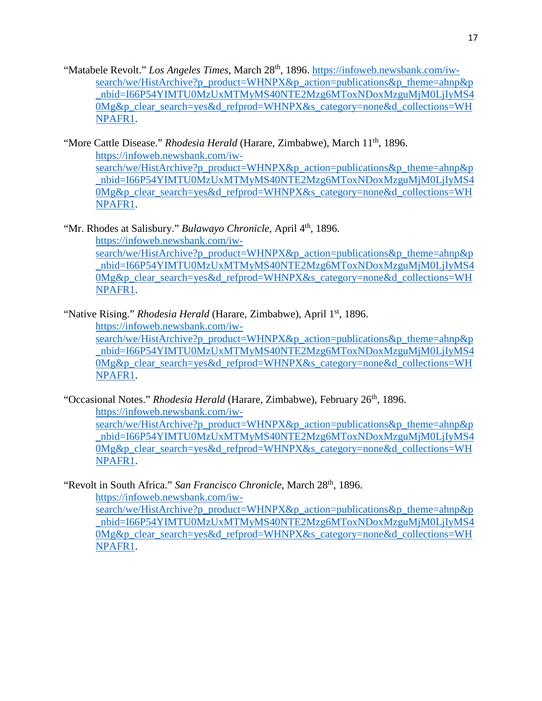"Matabele Revolt." Los Angeles Times, March 28<sup>th</sup>, 1896. [https://infoweb.newsbank.com/iw](https://infoweb.newsbank.com/iw-search/we/HistArchive?p_product=WHNPX&p_action=publications&p_theme=ahnp&p_nbid=I66P54YIMTU0MzUxMTMyMS40NTE2Mzg6MToxNDoxMzguMjM0LjIyMS40Mg&p_clear_search=yes&d_refprod=WHNPX&s_category=none&d_collections=WHNPAFR1)[search/we/HistArchive?p\\_product=WHNPX&p\\_action=publications&p\\_theme=ahnp&p](https://infoweb.newsbank.com/iw-search/we/HistArchive?p_product=WHNPX&p_action=publications&p_theme=ahnp&p_nbid=I66P54YIMTU0MzUxMTMyMS40NTE2Mzg6MToxNDoxMzguMjM0LjIyMS40Mg&p_clear_search=yes&d_refprod=WHNPX&s_category=none&d_collections=WHNPAFR1)\_ nbid=I66P54YIMTU0MzUxMTMyMS40NTE2Mzg6MToxNDoxMzguMjM0LjIyMS4 [0Mg&p\\_clear\\_search=yes&d\\_refprod=WHNPX&s\\_category=none&d\\_collections=WH](https://infoweb.newsbank.com/iw-search/we/HistArchive?p_product=WHNPX&p_action=publications&p_theme=ahnp&p_nbid=I66P54YIMTU0MzUxMTMyMS40NTE2Mzg6MToxNDoxMzguMjM0LjIyMS40Mg&p_clear_search=yes&d_refprod=WHNPX&s_category=none&d_collections=WHNPAFR1) [NPAFR1.](https://infoweb.newsbank.com/iw-search/we/HistArchive?p_product=WHNPX&p_action=publications&p_theme=ahnp&p_nbid=I66P54YIMTU0MzUxMTMyMS40NTE2Mzg6MToxNDoxMzguMjM0LjIyMS40Mg&p_clear_search=yes&d_refprod=WHNPX&s_category=none&d_collections=WHNPAFR1)

"More Cattle Disease." *Rhodesia Herald* (Harare, Zimbabwe), March 11th, 1896. [https://infoweb.newsbank.com/iw](https://infoweb.newsbank.com/iw-search/we/HistArchive?p_product=WHNPX&p_action=publications&p_theme=ahnp&p_nbid=I66P54YIMTU0MzUxMTMyMS40NTE2Mzg6MToxNDoxMzguMjM0LjIyMS40Mg&p_clear_search=yes&d_refprod=WHNPX&s_category=none&d_collections=WHNPAFR1)[search/we/HistArchive?p\\_product=WHNPX&p\\_action=publications&p\\_theme=ahnp&p](https://infoweb.newsbank.com/iw-search/we/HistArchive?p_product=WHNPX&p_action=publications&p_theme=ahnp&p_nbid=I66P54YIMTU0MzUxMTMyMS40NTE2Mzg6MToxNDoxMzguMjM0LjIyMS40Mg&p_clear_search=yes&d_refprod=WHNPX&s_category=none&d_collections=WHNPAFR1)\_ [\\_nbid=I66P54YIMTU0MzUxMTMyMS40NTE2Mzg6MToxNDoxMzguMjM0LjIyMS4](https://infoweb.newsbank.com/iw-search/we/HistArchive?p_product=WHNPX&p_action=publications&p_theme=ahnp&p_nbid=I66P54YIMTU0MzUxMTMyMS40NTE2Mzg6MToxNDoxMzguMjM0LjIyMS40Mg&p_clear_search=yes&d_refprod=WHNPX&s_category=none&d_collections=WHNPAFR1) [0Mg&p\\_clear\\_search=yes&d\\_refprod=WHNPX&s\\_category=none&d\\_collections=WH](https://infoweb.newsbank.com/iw-search/we/HistArchive?p_product=WHNPX&p_action=publications&p_theme=ahnp&p_nbid=I66P54YIMTU0MzUxMTMyMS40NTE2Mzg6MToxNDoxMzguMjM0LjIyMS40Mg&p_clear_search=yes&d_refprod=WHNPX&s_category=none&d_collections=WHNPAFR1) [NPAFR1.](https://infoweb.newsbank.com/iw-search/we/HistArchive?p_product=WHNPX&p_action=publications&p_theme=ahnp&p_nbid=I66P54YIMTU0MzUxMTMyMS40NTE2Mzg6MToxNDoxMzguMjM0LjIyMS40Mg&p_clear_search=yes&d_refprod=WHNPX&s_category=none&d_collections=WHNPAFR1)

"Mr. Rhodes at Salisbury." *Bulawayo Chronicle*, April 4<sup>th</sup>, 1896. [https://infoweb.newsbank.com/iw](https://infoweb.newsbank.com/iw-search/we/HistArchive?p_product=WHNPX&p_action=publications&p_theme=ahnp&p_nbid=I66P54YIMTU0MzUxMTMyMS40NTE2Mzg6MToxNDoxMzguMjM0LjIyMS40Mg&p_clear_search=yes&d_refprod=WHNPX&s_category=none&d_collections=WHNPAFR1)[search/we/HistArchive?p\\_product=WHNPX&p\\_action=publications&p\\_theme=ahnp&p](https://infoweb.newsbank.com/iw-search/we/HistArchive?p_product=WHNPX&p_action=publications&p_theme=ahnp&p_nbid=I66P54YIMTU0MzUxMTMyMS40NTE2Mzg6MToxNDoxMzguMjM0LjIyMS40Mg&p_clear_search=yes&d_refprod=WHNPX&s_category=none&d_collections=WHNPAFR1) [\\_nbid=I66P54YIMTU0MzUxMTMyMS40NTE2Mzg6MToxNDoxMzguMjM0LjIyMS4](https://infoweb.newsbank.com/iw-search/we/HistArchive?p_product=WHNPX&p_action=publications&p_theme=ahnp&p_nbid=I66P54YIMTU0MzUxMTMyMS40NTE2Mzg6MToxNDoxMzguMjM0LjIyMS40Mg&p_clear_search=yes&d_refprod=WHNPX&s_category=none&d_collections=WHNPAFR1) [0Mg&p\\_clear\\_search=yes&d\\_refprod=WHNPX&s\\_category=none&d\\_collections=WH](https://infoweb.newsbank.com/iw-search/we/HistArchive?p_product=WHNPX&p_action=publications&p_theme=ahnp&p_nbid=I66P54YIMTU0MzUxMTMyMS40NTE2Mzg6MToxNDoxMzguMjM0LjIyMS40Mg&p_clear_search=yes&d_refprod=WHNPX&s_category=none&d_collections=WHNPAFR1) [NPAFR1.](https://infoweb.newsbank.com/iw-search/we/HistArchive?p_product=WHNPX&p_action=publications&p_theme=ahnp&p_nbid=I66P54YIMTU0MzUxMTMyMS40NTE2Mzg6MToxNDoxMzguMjM0LjIyMS40Mg&p_clear_search=yes&d_refprod=WHNPX&s_category=none&d_collections=WHNPAFR1)

"Native Rising." *Rhodesia Herald* (Harare, Zimbabwe), April 1<sup>st</sup>, 1896.

[https://infoweb.newsbank.com/iw-](https://infoweb.newsbank.com/iw-search/we/HistArchive?p_product=WHNPX&p_action=publications&p_theme=ahnp&p_nbid=I66P54YIMTU0MzUxMTMyMS40NTE2Mzg6MToxNDoxMzguMjM0LjIyMS40Mg&p_clear_search=yes&d_refprod=WHNPX&s_category=none&d_collections=WHNPAFR1)

[search/we/HistArchive?p\\_product=WHNPX&p\\_action=publications&p\\_theme=ahnp&p](https://infoweb.newsbank.com/iw-search/we/HistArchive?p_product=WHNPX&p_action=publications&p_theme=ahnp&p_nbid=I66P54YIMTU0MzUxMTMyMS40NTE2Mzg6MToxNDoxMzguMjM0LjIyMS40Mg&p_clear_search=yes&d_refprod=WHNPX&s_category=none&d_collections=WHNPAFR1) [\\_nbid=I66P54YIMTU0MzUxMTMyMS40NTE2Mzg6MToxNDoxMzguMjM0LjIyMS4](https://infoweb.newsbank.com/iw-search/we/HistArchive?p_product=WHNPX&p_action=publications&p_theme=ahnp&p_nbid=I66P54YIMTU0MzUxMTMyMS40NTE2Mzg6MToxNDoxMzguMjM0LjIyMS40Mg&p_clear_search=yes&d_refprod=WHNPX&s_category=none&d_collections=WHNPAFR1) [0Mg&p\\_clear\\_search=yes&d\\_refprod=WHNPX&s\\_category=none&d\\_collections=WH](https://infoweb.newsbank.com/iw-search/we/HistArchive?p_product=WHNPX&p_action=publications&p_theme=ahnp&p_nbid=I66P54YIMTU0MzUxMTMyMS40NTE2Mzg6MToxNDoxMzguMjM0LjIyMS40Mg&p_clear_search=yes&d_refprod=WHNPX&s_category=none&d_collections=WHNPAFR1) [NPAFR1.](https://infoweb.newsbank.com/iw-search/we/HistArchive?p_product=WHNPX&p_action=publications&p_theme=ahnp&p_nbid=I66P54YIMTU0MzUxMTMyMS40NTE2Mzg6MToxNDoxMzguMjM0LjIyMS40Mg&p_clear_search=yes&d_refprod=WHNPX&s_category=none&d_collections=WHNPAFR1)

"Occasional Notes." *Rhodesia Herald* (Harare, Zimbabwe), February 26<sup>th</sup>, 1896. [https://infoweb.newsbank.com/iw-](https://infoweb.newsbank.com/iw-search/we/HistArchive?p_product=WHNPX&p_action=publications&p_theme=ahnp&p_nbid=I66P54YIMTU0MzUxMTMyMS40NTE2Mzg6MToxNDoxMzguMjM0LjIyMS40Mg&p_clear_search=yes&d_refprod=WHNPX&s_category=none&d_collections=WHNPAFR1)

[search/we/HistArchive?p\\_product=WHNPX&p\\_action=publications&p\\_theme=ahnp&p](https://infoweb.newsbank.com/iw-search/we/HistArchive?p_product=WHNPX&p_action=publications&p_theme=ahnp&p_nbid=I66P54YIMTU0MzUxMTMyMS40NTE2Mzg6MToxNDoxMzguMjM0LjIyMS40Mg&p_clear_search=yes&d_refprod=WHNPX&s_category=none&d_collections=WHNPAFR1)\_ [\\_nbid=I66P54YIMTU0MzUxMTMyMS40NTE2Mzg6MToxNDoxMzguMjM0LjIyMS4](https://infoweb.newsbank.com/iw-search/we/HistArchive?p_product=WHNPX&p_action=publications&p_theme=ahnp&p_nbid=I66P54YIMTU0MzUxMTMyMS40NTE2Mzg6MToxNDoxMzguMjM0LjIyMS40Mg&p_clear_search=yes&d_refprod=WHNPX&s_category=none&d_collections=WHNPAFR1) [0Mg&p\\_clear\\_search=yes&d\\_refprod=WHNPX&s\\_category=none&d\\_collections=WH](https://infoweb.newsbank.com/iw-search/we/HistArchive?p_product=WHNPX&p_action=publications&p_theme=ahnp&p_nbid=I66P54YIMTU0MzUxMTMyMS40NTE2Mzg6MToxNDoxMzguMjM0LjIyMS40Mg&p_clear_search=yes&d_refprod=WHNPX&s_category=none&d_collections=WHNPAFR1) [NPAFR1.](https://infoweb.newsbank.com/iw-search/we/HistArchive?p_product=WHNPX&p_action=publications&p_theme=ahnp&p_nbid=I66P54YIMTU0MzUxMTMyMS40NTE2Mzg6MToxNDoxMzguMjM0LjIyMS40Mg&p_clear_search=yes&d_refprod=WHNPX&s_category=none&d_collections=WHNPAFR1)

"Revolt in South Africa." *San Francisco Chronicle*, March 28<sup>th</sup>, 1896.

[https://infoweb.newsbank.com/iw-](https://infoweb.newsbank.com/iw-search/we/HistArchive?p_product=WHNPX&p_action=publications&p_theme=ahnp&p_nbid=I66P54YIMTU0MzUxMTMyMS40NTE2Mzg6MToxNDoxMzguMjM0LjIyMS40Mg&p_clear_search=yes&d_refprod=WHNPX&s_category=none&d_collections=WHNPAFR1)

[search/we/HistArchive?p\\_product=WHNPX&p\\_action=publications&p\\_theme=ahnp&p](https://infoweb.newsbank.com/iw-search/we/HistArchive?p_product=WHNPX&p_action=publications&p_theme=ahnp&p_nbid=I66P54YIMTU0MzUxMTMyMS40NTE2Mzg6MToxNDoxMzguMjM0LjIyMS40Mg&p_clear_search=yes&d_refprod=WHNPX&s_category=none&d_collections=WHNPAFR1)\_ [\\_nbid=I66P54YIMTU0MzUxMTMyMS40NTE2Mzg6MToxNDoxMzguMjM0LjIyMS4](https://infoweb.newsbank.com/iw-search/we/HistArchive?p_product=WHNPX&p_action=publications&p_theme=ahnp&p_nbid=I66P54YIMTU0MzUxMTMyMS40NTE2Mzg6MToxNDoxMzguMjM0LjIyMS40Mg&p_clear_search=yes&d_refprod=WHNPX&s_category=none&d_collections=WHNPAFR1) [0Mg&p\\_clear\\_search=yes&d\\_refprod=WHNPX&s\\_category=none&d\\_collections=WH](https://infoweb.newsbank.com/iw-search/we/HistArchive?p_product=WHNPX&p_action=publications&p_theme=ahnp&p_nbid=I66P54YIMTU0MzUxMTMyMS40NTE2Mzg6MToxNDoxMzguMjM0LjIyMS40Mg&p_clear_search=yes&d_refprod=WHNPX&s_category=none&d_collections=WHNPAFR1) [NPAFR1.](https://infoweb.newsbank.com/iw-search/we/HistArchive?p_product=WHNPX&p_action=publications&p_theme=ahnp&p_nbid=I66P54YIMTU0MzUxMTMyMS40NTE2Mzg6MToxNDoxMzguMjM0LjIyMS40Mg&p_clear_search=yes&d_refprod=WHNPX&s_category=none&d_collections=WHNPAFR1)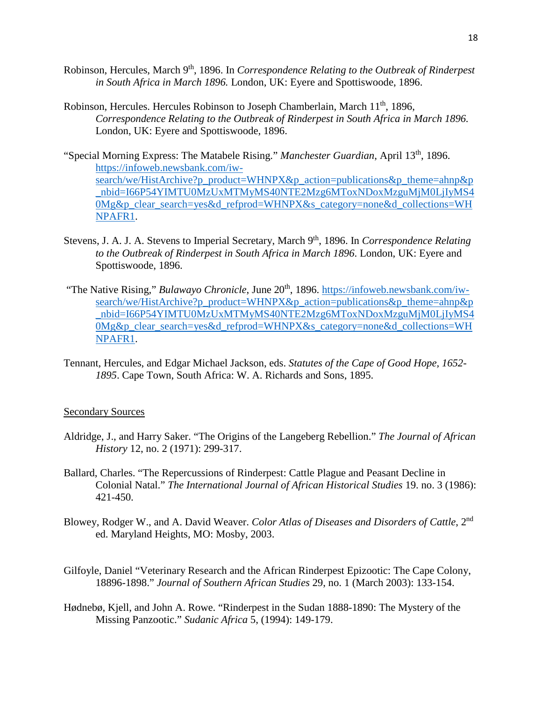- Robinson, Hercules, March 9<sup>th</sup>, 1896. In *Correspondence Relating to the Outbreak of Rinderpest in South Africa in March 1896.* London, UK: Eyere and Spottiswoode, 1896.
- Robinson, Hercules. Hercules Robinson to Joseph Chamberlain, March 11<sup>th</sup>, 1896, *Correspondence Relating to the Outbreak of Rinderpest in South Africa in March 1896.*  London, UK: Eyere and Spottiswoode, 1896.
- "Special Morning Express: The Matabele Rising." *Manchester Guardian*, April 13th, 1896. [https://infoweb.newsbank.com/iw](https://infoweb.newsbank.com/iw-search/we/HistArchive?p_product=WHNPX&p_action=publications&p_theme=ahnp&p_nbid=I66P54YIMTU0MzUxMTMyMS40NTE2Mzg6MToxNDoxMzguMjM0LjIyMS40Mg&p_clear_search=yes&d_refprod=WHNPX&s_category=none&d_collections=WHNPAFR1)[search/we/HistArchive?p\\_product=WHNPX&p\\_action=publications&p\\_theme=ahnp&p](https://infoweb.newsbank.com/iw-search/we/HistArchive?p_product=WHNPX&p_action=publications&p_theme=ahnp&p_nbid=I66P54YIMTU0MzUxMTMyMS40NTE2Mzg6MToxNDoxMzguMjM0LjIyMS40Mg&p_clear_search=yes&d_refprod=WHNPX&s_category=none&d_collections=WHNPAFR1) [\\_nbid=I66P54YIMTU0MzUxMTMyMS40NTE2Mzg6MToxNDoxMzguMjM0LjIyMS4](https://infoweb.newsbank.com/iw-search/we/HistArchive?p_product=WHNPX&p_action=publications&p_theme=ahnp&p_nbid=I66P54YIMTU0MzUxMTMyMS40NTE2Mzg6MToxNDoxMzguMjM0LjIyMS40Mg&p_clear_search=yes&d_refprod=WHNPX&s_category=none&d_collections=WHNPAFR1) [0Mg&p\\_clear\\_search=yes&d\\_refprod=WHNPX&s\\_category=none&d\\_collections=WH](https://infoweb.newsbank.com/iw-search/we/HistArchive?p_product=WHNPX&p_action=publications&p_theme=ahnp&p_nbid=I66P54YIMTU0MzUxMTMyMS40NTE2Mzg6MToxNDoxMzguMjM0LjIyMS40Mg&p_clear_search=yes&d_refprod=WHNPX&s_category=none&d_collections=WHNPAFR1) [NPAFR1.](https://infoweb.newsbank.com/iw-search/we/HistArchive?p_product=WHNPX&p_action=publications&p_theme=ahnp&p_nbid=I66P54YIMTU0MzUxMTMyMS40NTE2Mzg6MToxNDoxMzguMjM0LjIyMS40Mg&p_clear_search=yes&d_refprod=WHNPX&s_category=none&d_collections=WHNPAFR1)
- Stevens, J. A. J. A. Stevens to Imperial Secretary, March 9th, 1896. In *Correspondence Relating to the Outbreak of Rinderpest in South Africa in March 1896*. London, UK: Eyere and Spottiswoode, 1896.
- "The Native Rising," *Bulawayo Chronicle*, June 20<sup>th</sup>, 1896. [https://infoweb.newsbank.com/iw](https://infoweb.newsbank.com/iw-search/we/HistArchive?p_product=WHNPX&p_action=publications&p_theme=ahnp&p_nbid=I66P54YIMTU0MzUxMTMyMS40NTE2Mzg6MToxNDoxMzguMjM0LjIyMS40Mg&p_clear_search=yes&d_refprod=WHNPX&s_category=none&d_collections=WHNPAFR1)[search/we/HistArchive?p\\_product=WHNPX&p\\_action=publications&p\\_theme=ahnp&p](https://infoweb.newsbank.com/iw-search/we/HistArchive?p_product=WHNPX&p_action=publications&p_theme=ahnp&p_nbid=I66P54YIMTU0MzUxMTMyMS40NTE2Mzg6MToxNDoxMzguMjM0LjIyMS40Mg&p_clear_search=yes&d_refprod=WHNPX&s_category=none&d_collections=WHNPAFR1) [\\_nbid=I66P54YIMTU0MzUxMTMyMS40NTE2Mzg6MToxNDoxMzguMjM0LjIyMS4](https://infoweb.newsbank.com/iw-search/we/HistArchive?p_product=WHNPX&p_action=publications&p_theme=ahnp&p_nbid=I66P54YIMTU0MzUxMTMyMS40NTE2Mzg6MToxNDoxMzguMjM0LjIyMS40Mg&p_clear_search=yes&d_refprod=WHNPX&s_category=none&d_collections=WHNPAFR1) [0Mg&p\\_clear\\_search=yes&d\\_refprod=WHNPX&s\\_category=none&d\\_collections=WH](https://infoweb.newsbank.com/iw-search/we/HistArchive?p_product=WHNPX&p_action=publications&p_theme=ahnp&p_nbid=I66P54YIMTU0MzUxMTMyMS40NTE2Mzg6MToxNDoxMzguMjM0LjIyMS40Mg&p_clear_search=yes&d_refprod=WHNPX&s_category=none&d_collections=WHNPAFR1) [NPAFR1.](https://infoweb.newsbank.com/iw-search/we/HistArchive?p_product=WHNPX&p_action=publications&p_theme=ahnp&p_nbid=I66P54YIMTU0MzUxMTMyMS40NTE2Mzg6MToxNDoxMzguMjM0LjIyMS40Mg&p_clear_search=yes&d_refprod=WHNPX&s_category=none&d_collections=WHNPAFR1)
- Tennant, Hercules, and Edgar Michael Jackson, eds. *Statutes of the Cape of Good Hope, 1652- 1895*. Cape Town, South Africa: W. A. Richards and Sons, 1895.

#### Secondary Sources

- Aldridge, J., and Harry Saker. "The Origins of the Langeberg Rebellion." *The Journal of African History* 12, no. 2 (1971): 299-317.
- Ballard, Charles. "The Repercussions of Rinderpest: Cattle Plague and Peasant Decline in Colonial Natal." *The International Journal of African Historical Studies* 19. no. 3 (1986): 421-450.
- Blowey, Rodger W., and A. David Weaver. *Color Atlas of Diseases and Disorders of Cattle*, 2nd ed. Maryland Heights, MO: Mosby, 2003.
- Gilfoyle, Daniel "Veterinary Research and the African Rinderpest Epizootic: The Cape Colony, 18896-1898." *Journal of Southern African Studies* 29, no. 1 (March 2003): 133-154.
- Hødnebø, Kjell, and John A. Rowe. "Rinderpest in the Sudan 1888-1890: The Mystery of the Missing Panzootic." *Sudanic Africa* 5, (1994): 149-179.